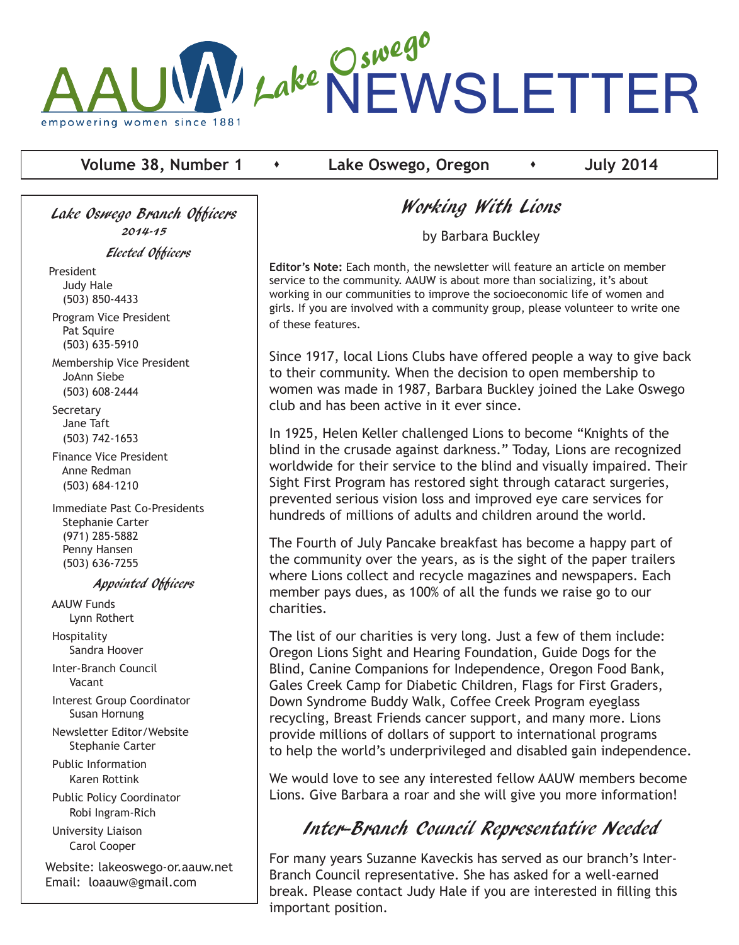

**Volume 38, Number 1 c Lake Oswego, Oregon c i July 2014** 

Lake Oswego Branch Officers 2014-15

Elected Officers

President Judy Hale (503) 850-4433

 Program Vice President Pat Squire (503) 635-5910

 Membership Vice President JoAnn Siebe (503) 608-2444

**Secretary**  Jane Taft (503) 742-1653

 Finance Vice President Anne Redman (503) 684-1210

 Immediate Past Co-Presidents Stephanie Carter (971) 285-5882 Penny Hansen (503) 636-7255

#### Appointed Officers

 AAUW Funds Lynn Rothert Hospitality

Sandra Hoover

 Inter-Branch Council Vacant

 Interest Group Coordinator Susan Hornung

 Newsletter Editor/Website Stephanie Carter

 Public Information Karen Rottink

 Public Policy Coordinator Robi Ingram-Rich

 University Liaison Carol Cooper

Website: lakeoswego-or.aauw.net Email: loaauw@gmail.com

# Working With Lions

by Barbara Buckley

**Editor's Note:** Each month, the newsletter will feature an article on member service to the community. AAUW is about more than socializing, it's about working in our communities to improve the socioeconomic life of women and girls. If you are involved with a community group, please volunteer to write one of these features.

Since 1917, local Lions Clubs have offered people a way to give back to their community. When the decision to open membership to women was made in 1987, Barbara Buckley joined the Lake Oswego club and has been active in it ever since.

In 1925, Helen Keller challenged Lions to become "Knights of the blind in the crusade against darkness." Today, Lions are recognized worldwide for their service to the blind and visually impaired. Their Sight First Program has restored sight through cataract surgeries, prevented serious vision loss and improved eye care services for hundreds of millions of adults and children around the world.

The Fourth of July Pancake breakfast has become a happy part of the community over the years, as is the sight of the paper trailers where Lions collect and recycle magazines and newspapers. Each member pays dues, as 100% of all the funds we raise go to our charities.

The list of our charities is very long. Just a few of them include: Oregon Lions Sight and Hearing Foundation, Guide Dogs for the Blind, Canine Companions for Independence, Oregon Food Bank, Gales Creek Camp for Diabetic Children, Flags for First Graders, Down Syndrome Buddy Walk, Coffee Creek Program eyeglass recycling, Breast Friends cancer support, and many more. Lions provide millions of dollars of support to international programs to help the world's underprivileged and disabled gain independence.

We would love to see any interested fellow AAUW members become Lions. Give Barbara a roar and she will give you more information!

# Inter-Branch Council Representative Needed

For many years Suzanne Kaveckis has served as our branch's Inter-Branch Council representative. She has asked for a well-earned break. Please contact Judy Hale if you are interested in filling this important position.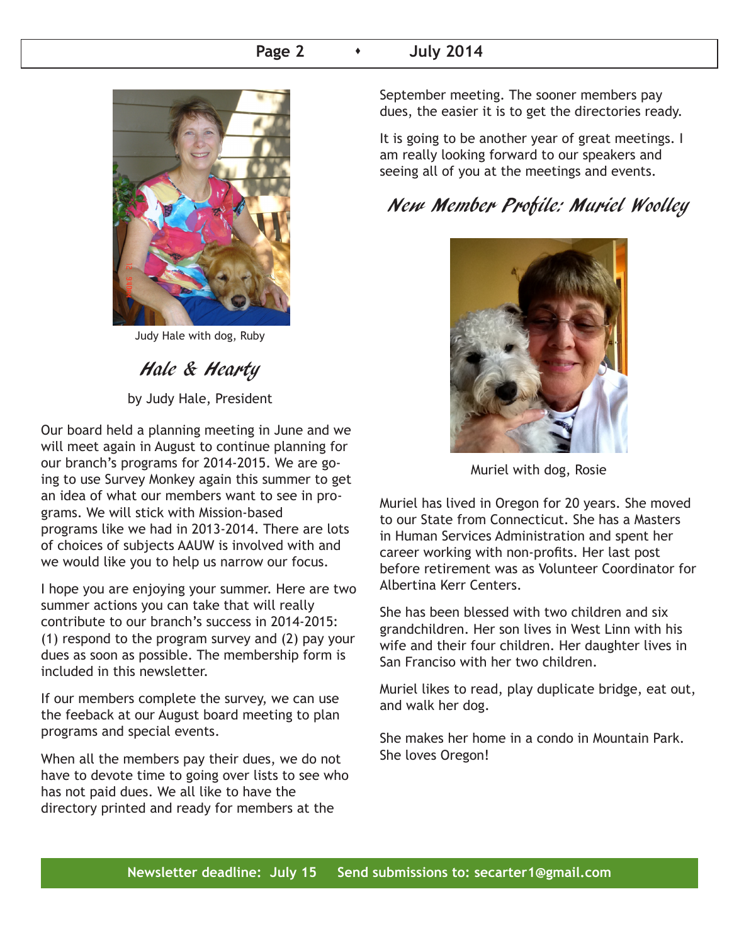## **Page 2 b 1** July 2014



Judy Hale with dog, Ruby

# Hale & Hearty

by Judy Hale, President

Our board held a planning meeting in June and we will meet again in August to continue planning for our branch's programs for 2014-2015. We are going to use Survey Monkey again this summer to get an idea of what our members want to see in programs. We will stick with Mission-based programs like we had in 2013-2014. There are lots of choices of subjects AAUW is involved with and we would like you to help us narrow our focus.

I hope you are enjoying your summer. Here are two summer actions you can take that will really contribute to our branch's success in 2014-2015: (1) respond to the program survey and (2) pay your dues as soon as possible. The membership form is included in this newsletter.

If our members complete the survey, we can use the feeback at our August board meeting to plan programs and special events.

When all the members pay their dues, we do not have to devote time to going over lists to see who has not paid dues. We all like to have the directory printed and ready for members at the

September meeting. The sooner members pay dues, the easier it is to get the directories ready.

It is going to be another year of great meetings. I am really looking forward to our speakers and seeing all of you at the meetings and events.

# New Member Profile: Muriel Woolley



Muriel with dog, Rosie

Muriel has lived in Oregon for 20 years. She moved to our State from Connecticut. She has a Masters in Human Services Administration and spent her career working with non-profits. Her last post before retirement was as Volunteer Coordinator for Albertina Kerr Centers.

She has been blessed with two children and six grandchildren. Her son lives in West Linn with his wife and their four children. Her daughter lives in San Franciso with her two children.

Muriel likes to read, play duplicate bridge, eat out, and walk her dog.

She makes her home in a condo in Mountain Park. She loves Oregon!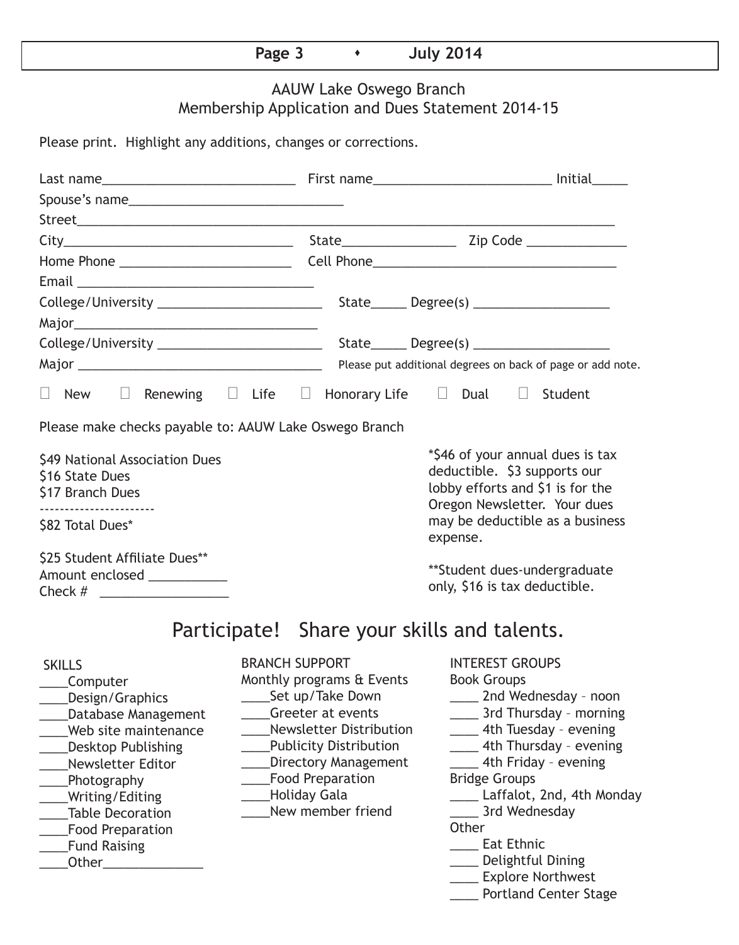# **Page 3 b 1** July 2014

# AAUW Lake Oswego Branch Membership Application and Dues Statement 2014-15

Please print. Highlight any additions, changes or corrections.

| Spouse's name                                                                                                                                                                                                                                                              |                                                                                                                                                                                                                                                                      |  |                                                                                  |                                                                                                                                                                                                                                                                                                                                                                |  |
|----------------------------------------------------------------------------------------------------------------------------------------------------------------------------------------------------------------------------------------------------------------------------|----------------------------------------------------------------------------------------------------------------------------------------------------------------------------------------------------------------------------------------------------------------------|--|----------------------------------------------------------------------------------|----------------------------------------------------------------------------------------------------------------------------------------------------------------------------------------------------------------------------------------------------------------------------------------------------------------------------------------------------------------|--|
|                                                                                                                                                                                                                                                                            |                                                                                                                                                                                                                                                                      |  |                                                                                  |                                                                                                                                                                                                                                                                                                                                                                |  |
|                                                                                                                                                                                                                                                                            |                                                                                                                                                                                                                                                                      |  |                                                                                  |                                                                                                                                                                                                                                                                                                                                                                |  |
|                                                                                                                                                                                                                                                                            |                                                                                                                                                                                                                                                                      |  |                                                                                  |                                                                                                                                                                                                                                                                                                                                                                |  |
| Email <u>________________________________</u>                                                                                                                                                                                                                              |                                                                                                                                                                                                                                                                      |  |                                                                                  |                                                                                                                                                                                                                                                                                                                                                                |  |
|                                                                                                                                                                                                                                                                            |                                                                                                                                                                                                                                                                      |  |                                                                                  |                                                                                                                                                                                                                                                                                                                                                                |  |
|                                                                                                                                                                                                                                                                            |                                                                                                                                                                                                                                                                      |  |                                                                                  |                                                                                                                                                                                                                                                                                                                                                                |  |
|                                                                                                                                                                                                                                                                            |                                                                                                                                                                                                                                                                      |  |                                                                                  |                                                                                                                                                                                                                                                                                                                                                                |  |
|                                                                                                                                                                                                                                                                            | Please put additional degrees on back of page or add note.                                                                                                                                                                                                           |  |                                                                                  |                                                                                                                                                                                                                                                                                                                                                                |  |
| $\Box$<br>New                                                                                                                                                                                                                                                              |                                                                                                                                                                                                                                                                      |  | Renewing $\square$ Life $\square$ Honorary Life $\square$ Dual $\square$ Student |                                                                                                                                                                                                                                                                                                                                                                |  |
| Please make checks payable to: AAUW Lake Oswego Branch                                                                                                                                                                                                                     |                                                                                                                                                                                                                                                                      |  |                                                                                  |                                                                                                                                                                                                                                                                                                                                                                |  |
| \$49 National Association Dues<br>\$16 State Dues<br>\$17 Branch Dues<br>\$82 Total Dues*                                                                                                                                                                                  |                                                                                                                                                                                                                                                                      |  | deductible. \$3 supports our<br>expense.                                         | *\$46 of your annual dues is tax<br>lobby efforts and \$1 is for the<br>Oregon Newsletter. Your dues<br>may be deductible as a business                                                                                                                                                                                                                        |  |
| \$25 Student Affiliate Dues**<br>Amount enclosed ____________<br>Check $\#$                                                                                                                                                                                                |                                                                                                                                                                                                                                                                      |  | only, \$16 is tax deductible.                                                    | **Student dues-undergraduate                                                                                                                                                                                                                                                                                                                                   |  |
|                                                                                                                                                                                                                                                                            |                                                                                                                                                                                                                                                                      |  | Participate! Share your skills and talents.                                      |                                                                                                                                                                                                                                                                                                                                                                |  |
| <b>SKILLS</b><br>Computer<br>Design/Graphics<br><b>Database Management</b><br>Web site maintenance<br><b>Desktop Publishing</b><br><b>Newsletter Editor</b><br>Photography<br>Writing/Editing<br><b>Table Decoration</b><br><b>Food Preparation</b><br><b>Fund Raising</b> | <b>BRANCH SUPPORT</b><br>Monthly programs & Events<br>Set up/Take Down<br>Greeter at events<br><b>Newsletter Distribution</b><br><b>Publicity Distribution</b><br><b>Directory Management</b><br><b>Food Preparation</b><br><b>Holiday Gala</b><br>New member friend |  | Other                                                                            | <b>INTEREST GROUPS</b><br><b>Book Groups</b><br>__ 2nd Wednesday - noon<br>____ 3rd Thursday - morning<br>____ 4th Tuesday - evening<br>4th Thursday - evening<br>4th Friday - evening<br><b>Bridge Groups</b><br>Laffalot, 2nd, 4th Monday<br>3rd Wednesday<br><b>Lat Ethnic</b><br>Delightful Dining<br>____ Explore Northwest<br>____ Portland Center Stage |  |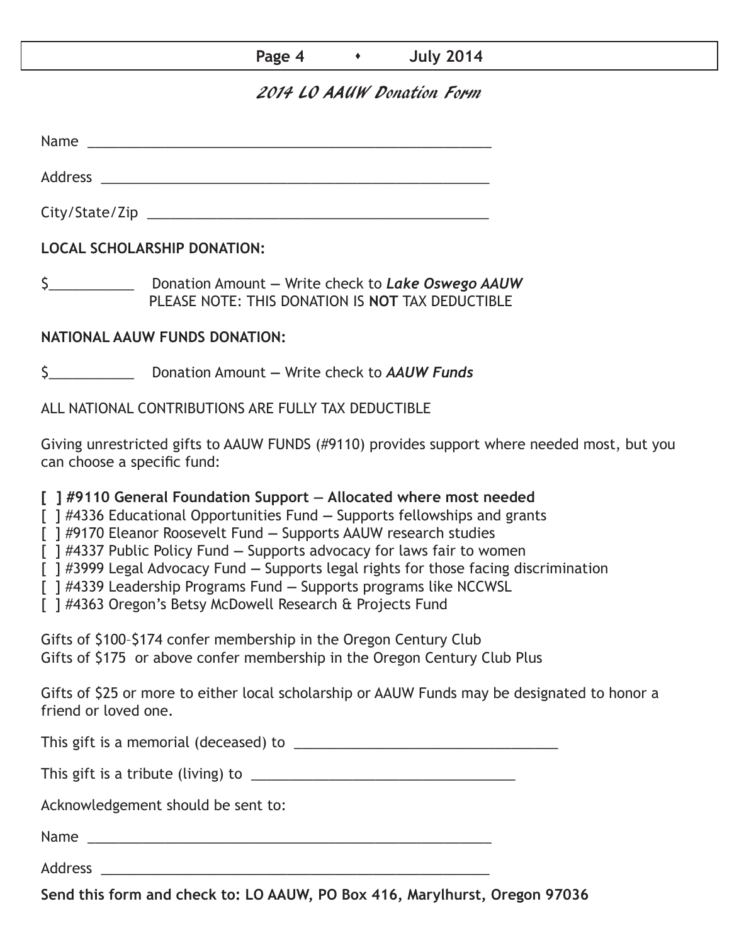## **Page 4 b 1 July 2014**

## 2014 LO AAUW Donation Form

Name was also as  $\sim$  100  $\mu$  and  $\mu$  and  $\mu$  and  $\mu$  and  $\mu$  and  $\mu$  and  $\mu$  and  $\mu$  and  $\mu$  and  $\mu$  and  $\mu$  and  $\mu$  and  $\mu$  and  $\mu$  and  $\mu$  and  $\mu$  and  $\mu$  and  $\mu$  and  $\mu$  and  $\mu$  and  $\mu$  and  $\mu$  an

Address \_\_\_\_\_\_\_\_\_\_\_\_\_\_\_\_\_\_\_\_\_\_\_\_\_\_\_\_\_\_\_\_\_\_\_\_\_\_\_\_\_\_\_\_\_\_\_\_\_\_

City/State/Zip 2000 and 2000 and 2000 and 2000 and 2000 and 2000 and 2000 and 2000 and 2000 and 200

**LOCAL SCHOLARSHIP DONATION:**

\$\_\_\_\_\_\_\_\_\_\_\_ Donation Amount **—** Write check to *Lake Oswego AAUW* PLEASE NOTE: THIS DONATION IS **NOT** TAX DEDUCTIBLE

## **NATIONAL AAUW FUNDS DONATION:**

\$\_\_\_\_\_\_\_\_\_\_\_ Donation Amount **—** Write check to *AAUW Funds*

ALL NATIONAL CONTRIBUTIONS ARE FULLY TAX DEDUCTIBLE

Giving unrestricted gifts to AAUW FUNDS (#9110) provides support where needed most, but you can choose a specific fund:

**[ ] #9110 General Foundation Support — Allocated where most needed** 

[ ] #4336 Educational Opportunities Fund **—** Supports fellowships and grants

[ ] #9170 Eleanor Roosevelt Fund **—** Supports AAUW research studies

[ ] #4337 Public Policy Fund **—** Supports advocacy for laws fair to women

[ ] #3999 Legal Advocacy Fund **—** Supports legal rights for those facing discrimination

[ ] #4339 Leadership Programs Fund **—** Supports programs like NCCWSL

[ ] #4363 Oregon's Betsy McDowell Research & Projects Fund

Gifts of \$100–\$174 confer membership in the Oregon Century Club Gifts of \$175 or above confer membership in the Oregon Century Club Plus

Gifts of \$25 or more to either local scholarship or AAUW Funds may be designated to honor a friend or loved one.

This gift is a memorial (deceased) to \_\_\_\_\_\_\_\_\_\_\_\_\_\_\_\_\_\_\_\_\_\_\_\_\_\_\_\_\_\_\_\_\_\_

This gift is a tribute (living) to \_\_\_\_\_\_\_\_\_\_\_\_\_\_\_\_\_\_\_\_\_\_\_\_\_\_\_\_\_\_\_\_\_\_

Acknowledgement should be sent to:

Name \_\_\_\_\_\_\_\_\_\_\_\_\_\_\_\_\_\_\_\_\_\_\_\_\_\_\_\_\_\_\_\_\_\_\_\_\_\_\_\_\_\_\_\_\_\_\_\_\_\_\_\_

Address \_\_\_\_\_\_\_\_\_\_\_\_\_\_\_\_\_\_\_\_\_\_\_\_\_\_\_\_\_\_\_\_\_\_\_\_\_\_\_\_\_\_\_\_\_\_\_\_\_\_

**Send this form and check to: LO AAUW, PO Box 416, Marylhurst, Oregon 97036**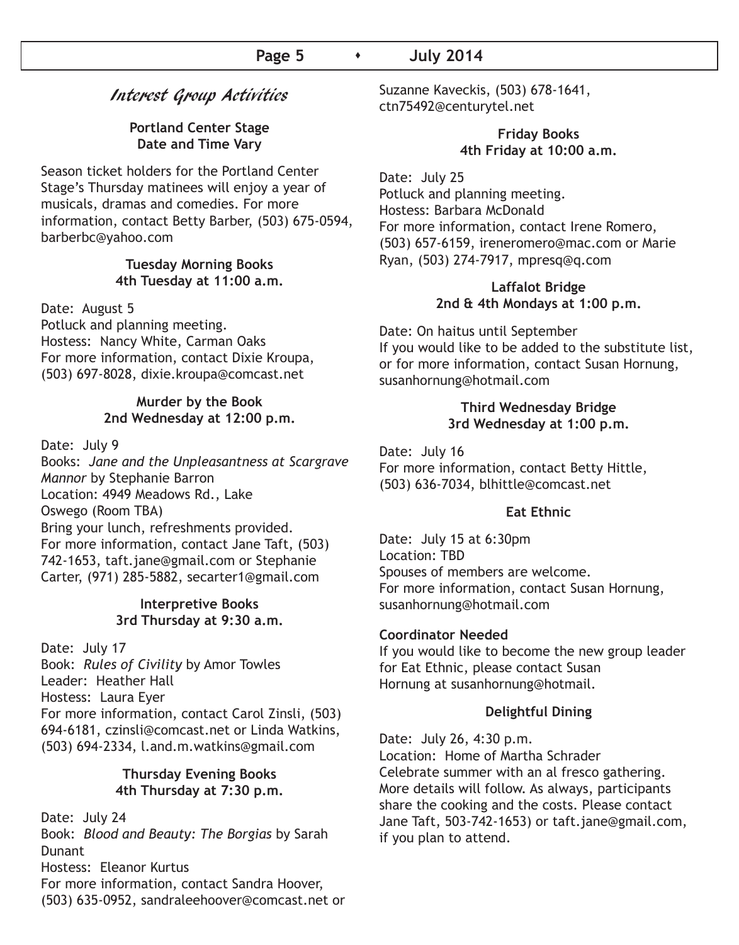### Interest Group Activities

#### **Portland Center Stage Date and Time Vary**

Season ticket holders for the Portland Center Stage's Thursday matinees will enjoy a year of musicals, dramas and comedies. For more information, contact Betty Barber, (503) 675-0594, barberbc@yahoo.com

#### **Tuesday Morning Books 4th Tuesday at 11:00 a.m.**

#### Date: August 5

Potluck and planning meeting. Hostess: Nancy White, Carman Oaks For more information, contact Dixie Kroupa, (503) 697-8028, dixie.kroupa@comcast.net

#### **Murder by the Book 2nd Wednesday at 12:00 p.m.**

Date: July 9

Books: *Jane and the Unpleasantness at Scargrave Mannor* by Stephanie Barron Location: 4949 Meadows Rd., Lake Oswego (Room TBA) Bring your lunch, refreshments provided. For more information, contact Jane Taft, (503) 742-1653, taft.jane@gmail.com or Stephanie Carter, (971) 285-5882, secarter1@gmail.com

#### **Interpretive Books 3rd Thursday at 9:30 a.m.**

Date: July 17 Book: *Rules of Civility* by Amor Towles Leader: Heather Hall Hostess: Laura Eyer For more information, contact Carol Zinsli, (503) 694-6181, czinsli@comcast.net or Linda Watkins, (503) 694-2334, l.and.m.watkins@gmail.com

#### **Thursday Evening Books 4th Thursday at 7:30 p.m.**

Date: July 24 Book: *Blood and Beauty: The Borgias* by Sarah **Dunant** Hostess: Eleanor Kurtus For more information, contact Sandra Hoover, (503) 635-0952, sandraleehoover@comcast.net or Suzanne Kaveckis, (503) 678-1641, ctn75492@centurytel.net

#### **Friday Books 4th Friday at 10:00 a.m.**

Date: July 25 Potluck and planning meeting. Hostess: Barbara McDonald For more information, contact Irene Romero, (503) 657-6159, ireneromero@mac.com or Marie Ryan, (503) 274-7917, mpresq@q.com

#### **Laffalot Bridge 2nd & 4th Mondays at 1:00 p.m.**

Date: On haitus until September If you would like to be added to the substitute list, or for more information, contact Susan Hornung, susanhornung@hotmail.com

#### **Third Wednesday Bridge 3rd Wednesday at 1:00 p.m.**

Date: July 16 For more information, contact Betty Hittle, (503) 636-7034, blhittle@comcast.net

#### **Eat Ethnic**

Date: July 15 at 6:30pm Location: TBD Spouses of members are welcome. For more information, contact Susan Hornung, susanhornung@hotmail.com

#### **Coordinator Needed**

If you would like to become the new group leader for Eat Ethnic, please contact Susan Hornung at susanhornung@hotmail.

#### **Delightful Dining**

Date: July 26, 4:30 p.m. Location: Home of Martha Schrader Celebrate summer with an al fresco gathering. More details will follow. As always, participants share the cooking and the costs. Please contact Jane Taft, 503-742-1653) or taft.jane@gmail.com, if you plan to attend.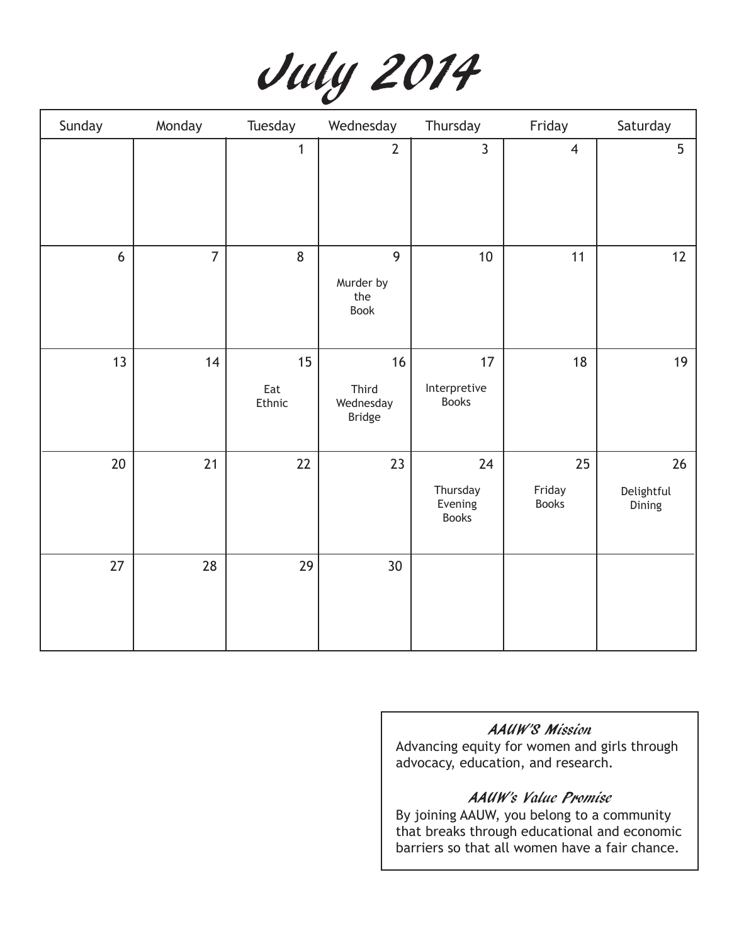|  | July 2014 |
|--|-----------|
|--|-----------|

| Sunday | Monday         | Tuesday             | Wednesday                                 | Thursday                                  | Friday                       | Saturday                   |
|--------|----------------|---------------------|-------------------------------------------|-------------------------------------------|------------------------------|----------------------------|
|        |                | $\mathbf{1}$        | $\overline{2}$                            | $\overline{3}$                            | $\overline{4}$               | 5                          |
| $6\,$  | $\overline{7}$ | 8                   | 9<br>Murder by<br>the<br><b>Book</b>      | $10$                                      | 11                           | 12                         |
| 13     | 14             | 15<br>Eat<br>Ethnic | 16<br>Third<br>Wednesday<br><b>Bridge</b> | 17<br>Interpretive<br><b>Books</b>        | 18                           | 19                         |
| 20     | 21             | 22                  | 23                                        | 24<br>Thursday<br>Evening<br><b>Books</b> | 25<br>Friday<br><b>Books</b> | 26<br>Delightful<br>Dining |
| 27     | 28             | 29                  | 30 <sup>°</sup>                           |                                           |                              |                            |

## AAUW'S Mission

Advancing equity for women and girls through advocacy, education, and research.

## AAUW's Value Promise

By joining AAUW, you belong to a community that breaks through educational and economic barriers so that all women have a fair chance.